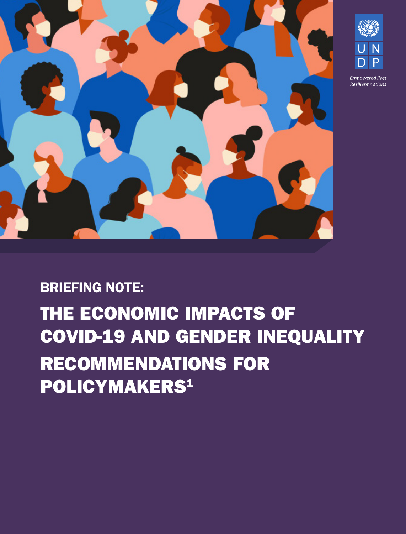



# BRIEFING NOTE: THE ECONOMIC IMPACTS OF COVID-19 AND GENDER INEQUALITY RECOMMENDATIONS FOR POLICYMAKERS<sup>1</sup>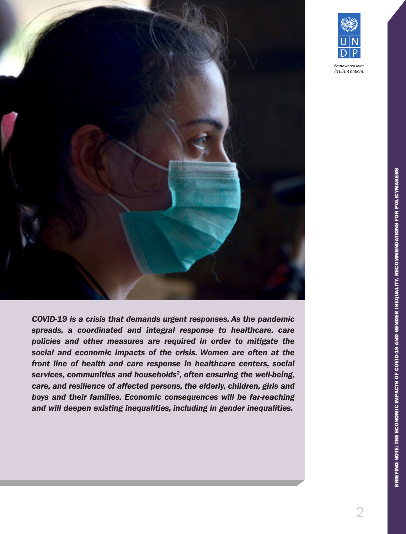

*COVID-19 is a crisis that demands urgent responses. As the pandemic spreads, a coordinated and integral response to healthcare, care policies and other measures are required in order to mitigate the social and economic impacts of the crisis. Women are often at the front line of health and care response in healthcare centers, social services, communities and households2, often ensuring the well-being, care, and resilience of affected persons, the elderly, children, girls and boys and their families. Economic consequences will be far-reaching and will deepen existing inequalities, including in gender inequalities.*

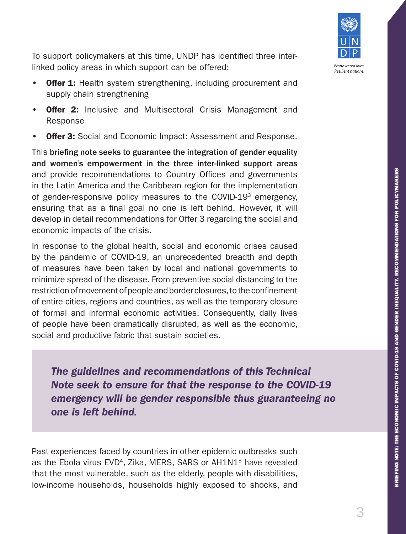

To support policymakers at this time, UNDP has identified three interlinked policy areas in which support can be offered:

- Offer 1: Health system strengthening, including procurement and supply chain strengthening
- **Offer 2:** Inclusive and Multisectoral Crisis Management and Response
- **Offer 3:** Social and Economic Impact: Assessment and Response.

This briefing note seeks to guarantee the integration of gender equality and women's empowerment in the three inter-linked support areas and provide recommendations to Country Offices and governments in the Latin America and the Caribbean region for the implementation of gender-responsive policy measures to the COVID-19<sup>3</sup> emergency. ensuring that as a final goal no one is left behind. However, it will develop in detail recommendations for Offer 3 regarding the social and economic impacts of the crisis.

In response to the global health, social and economic crises caused by the pandemic of COVID-19, an unprecedented breadth and depth of measures have been taken by local and national governments to minimize spread of the disease. From preventive social distancing to the restriction of movement of people and border closures, to the confinement of entire cities, regions and countries, as well as the temporary closure of formal and informal economic activities. Consequently, daily lives of people have been dramatically disrupted, as well as the economic, social and productive fabric that sustain societies.

*The guidelines and recommendations of this Technical Note seek to ensure for that the response to the COVID-19 emergency will be gender responsible thus guaranteeing no one is left behind.* 

Past experiences faced by countries in other epidemic outbreaks such as the Ebola virus EVD<sup>4</sup>, Zika, MERS, SARS or AH1N1<sup>5</sup> have revealed that the most vulnerable, such as the elderly, people with disabilities, low-income households, households highly exposed to shocks, and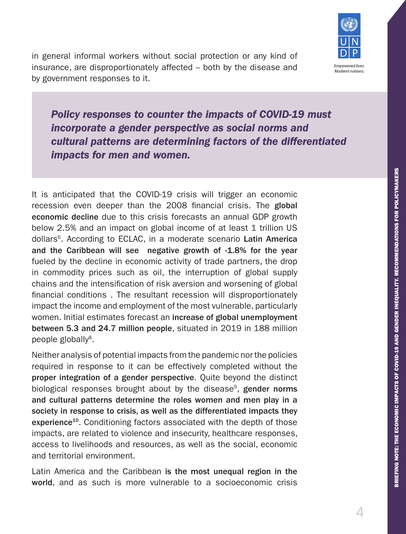

in general informal workers without social protection or any kind of insurance, are disproportionately affected – both by the disease and by government responses to it.

*Policy responses to counter the impacts of COVID-19 must incorporate a gender perspective as social norms and cultural patterns are determining factors of the differentiated impacts for men and women.*

It is anticipated that the COVID-19 crisis will trigger an economic recession even deeper than the 2008 financial crisis. The global economic decline due to this crisis forecasts an annual GDP growth below 2.5% and an impact on global income of at least 1 trillion US dollars<sup>6</sup>. According to ECLAC, in a moderate scenario Latin America and the Caribbean will see negative growth of -1.8% for the year fueled by the decline in economic activity of trade partners, the drop in commodity prices such as oil, the interruption of global supply chains and the intensification of risk aversion and worsening of global financial conditions . The resultant recession will disproportionately impact the income and employment of the most vulnerable, particularly women. Initial estimates forecast an increase of global unemployment between 5.3 and 24.7 million people, situated in 2019 in 188 million people globally<sup>8</sup>.

Neither analysis of potential impacts from the pandemic nor the policies required in response to it can be effectively completed without the proper integration of a gender perspective. Quite beyond the distinct biological responses brought about by the disease<sup>9</sup>, gender norms and cultural patterns determine the roles women and men play in a society in response to crisis, as well as the differentiated impacts they experience<sup>10</sup>. Conditioning factors associated with the depth of those impacts, are related to violence and insecurity, healthcare responses, access to livelihoods and resources, as well as the social, economic and territorial environment.

Latin America and the Caribbean is the most unequal region in the world, and as such is more vulnerable to a socioeconomic crisis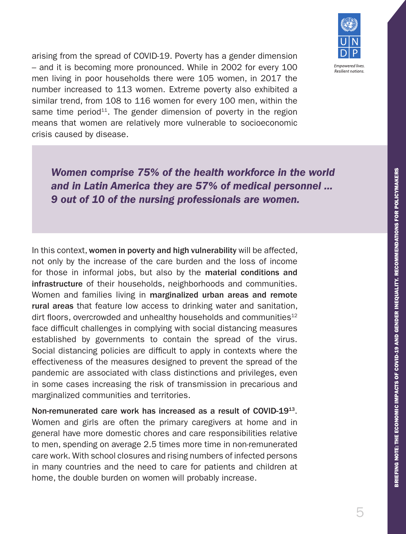

arising from the spread of COVID-19. Poverty has a gender dimension – and it is becoming more pronounced. While in 2002 for every 100 men living in poor households there were 105 women, in 2017 the number increased to 113 women. Extreme poverty also exhibited a similar trend, from 108 to 116 women for every 100 men, within the same time period<sup>11</sup>. The gender dimension of poverty in the region means that women are relatively more vulnerable to socioeconomic crisis caused by disease.

In this context, women in poverty and high vulnerability will be affected, not only by the increase of the care burden and the loss of income for those in informal jobs, but also by the material conditions and infrastructure of their households, neighborhoods and communities. Women and families living in marginalized urban areas and remote rural areas that feature low access to drinking water and sanitation, dirt floors, overcrowded and unhealthy households and communities $12$ face difficult challenges in complying with social distancing measures established by governments to contain the spread of the virus. Social distancing policies are difficult to apply in contexts where the effectiveness of the measures designed to prevent the spread of the

*Women comprise 75% of the health workforce in the world and in Latin America they are 57% of medical personnel ...* 

*9 out of 10 of the nursing professionals are women.* 

pandemic are associated with class distinctions and privileges, even in some cases increasing the risk of transmission in precarious and marginalized communities and territories.

Non-remunerated care work has increased as a result of COVID-1913. Women and girls are often the primary caregivers at home and in general have more domestic chores and care responsibilities relative to men, spending on average 2.5 times more time in non-remunerated care work. With school closures and rising numbers of infected persons in many countries and the need to care for patients and children at home, the double burden on women will probably increase.

5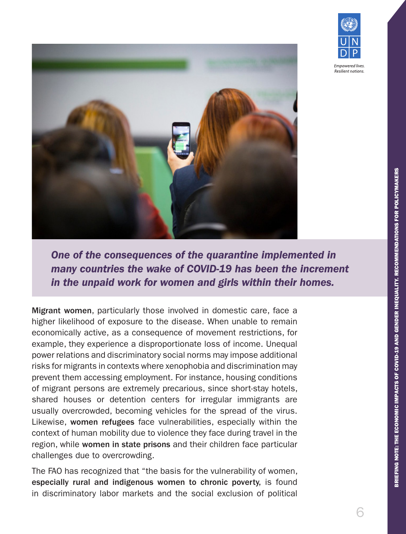

**Resilient nations** 



*One of the consequences of the quarantine implemented in many countries the wake of COVID-19 has been the increment in the unpaid work for women and girls within their homes.*

Migrant women, particularly those involved in domestic care, face a higher likelihood of exposure to the disease. When unable to remain economically active, as a consequence of movement restrictions, for example, they experience a disproportionate loss of income. Unequal power relations and discriminatory social norms may impose additional risks for migrants in contexts where xenophobia and discrimination may prevent them accessing employment. For instance, housing conditions of migrant persons are extremely precarious, since short-stay hotels, shared houses or detention centers for irregular immigrants are usually overcrowded, becoming vehicles for the spread of the virus. Likewise, women refugees face vulnerabilities, especially within the context of human mobility due to violence they face during travel in the region, while women in state prisons and their children face particular challenges due to overcrowding.

The FAO has recognized that "the basis for the vulnerability of women, especially rural and indigenous women to chronic poverty, is found in discriminatory labor markets and the social exclusion of political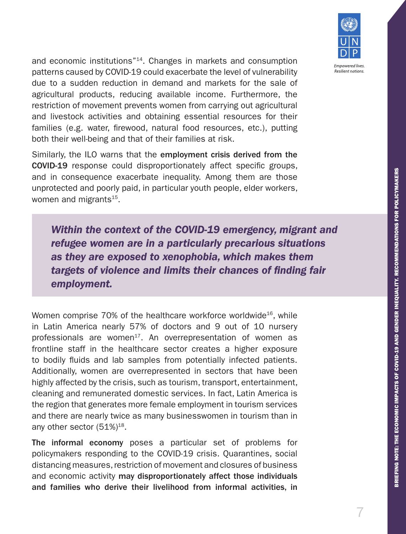

**Resilient nations** 

and economic institutions"14. Changes in markets and consumption patterns caused by COVID-19 could exacerbate the level of vulnerability due to a sudden reduction in demand and markets for the sale of agricultural products, reducing available income. Furthermore, the restriction of movement prevents women from carrying out agricultural and livestock activities and obtaining essential resources for their families (e.g. water, firewood, natural food resources, etc.), putting both their well-being and that of their families at risk.

Similarly, the ILO warns that the employment crisis derived from the COVID-19 response could disproportionately affect specific groups, and in consequence exacerbate inequality. Among them are those unprotected and poorly paid, in particular youth people, elder workers, women and migrants $15$ .

*Within the context of the COVID-19 emergency, migrant and refugee women are in a particularly precarious situations as they are exposed to xenophobia, which makes them targets of violence and limits their chances of finding fair employment.* 

Women comprise 70% of the healthcare workforce worldwide<sup>16</sup>, while in Latin America nearly 57% of doctors and 9 out of 10 nursery professionals are women<sup>17</sup>. An overrepresentation of women as frontline staff in the healthcare sector creates a higher exposure to bodily fluids and lab samples from potentially infected patients. Additionally, women are overrepresented in sectors that have been highly affected by the crisis, such as tourism, transport, entertainment, cleaning and remunerated domestic services. In fact, Latin America is the region that generates more female employment in tourism services and there are nearly twice as many businesswomen in tourism than in any other sector  $(51\%)^{18}$ .

The informal economy poses a particular set of problems for policymakers responding to the COVID-19 crisis. Quarantines, social distancing measures, restriction of movement and closures of business and economic activity may disproportionately affect those individuals and families who derive their livelihood from informal activities, in

7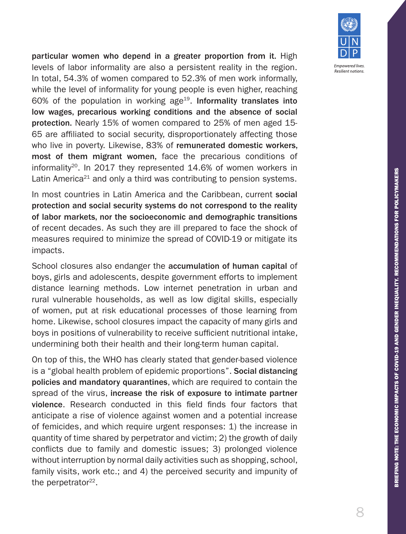

particular women who depend in a greater proportion from it. High levels of labor informality are also a persistent reality in the region. In total, 54.3% of women compared to 52.3% of men work informally, while the level of informality for young people is even higher, reaching 60% of the population in working age<sup>19</sup>. Informality translates into low wages, precarious working conditions and the absence of social protection. Nearly 15% of women compared to 25% of men aged 15- 65 are affiliated to social security, disproportionately affecting those who live in poverty. Likewise, 83% of remunerated domestic workers, most of them migrant women, face the precarious conditions of informality<sup>20</sup>. In 2017 they represented 14.6% of women workers in Latin America<sup>21</sup> and only a third was contributing to pension systems.

In most countries in Latin America and the Caribbean, current social protection and social security systems do not correspond to the reality of labor markets, nor the socioeconomic and demographic transitions of recent decades. As such they are ill prepared to face the shock of measures required to minimize the spread of COVID-19 or mitigate its impacts.

School closures also endanger the accumulation of human capital of boys, girls and adolescents, despite government efforts to implement distance learning methods. Low internet penetration in urban and rural vulnerable households, as well as low digital skills, especially of women, put at risk educational processes of those learning from home. Likewise, school closures impact the capacity of many girls and boys in positions of vulnerability to receive sufficient nutritional intake, undermining both their health and their long-term human capital.

On top of this, the WHO has clearly stated that gender-based violence is a "global health problem of epidemic proportions". Social distancing policies and mandatory quarantines, which are required to contain the spread of the virus, increase the risk of exposure to intimate partner violence. Research conducted in this field finds four factors that anticipate a rise of violence against women and a potential increase of femicides, and which require urgent responses: 1) the increase in quantity of time shared by perpetrator and victim; 2) the growth of daily conflicts due to family and domestic issues; 3) prolonged violence without interruption by normal daily activities such as shopping, school, family visits, work etc.; and 4) the perceived security and impunity of the perpetrator $22$ .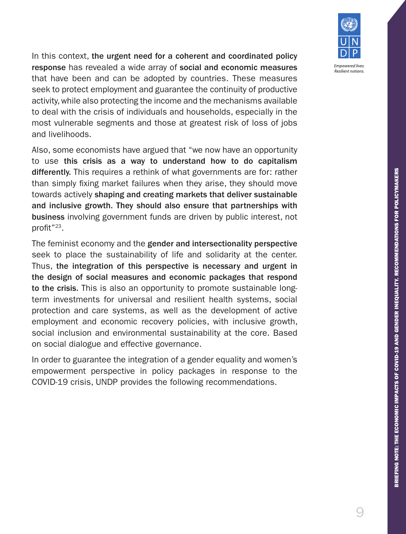

In this context, the urgent need for a coherent and coordinated policy response has revealed a wide array of social and economic measures that have been and can be adopted by countries. These measures seek to protect employment and guarantee the continuity of productive activity, while also protecting the income and the mechanisms available to deal with the crisis of individuals and households, especially in the most vulnerable segments and those at greatest risk of loss of jobs and livelihoods.

Also, some economists have argued that "we now have an opportunity to use this crisis as a way to understand how to do capitalism differently. This requires a rethink of what governments are for: rather than simply fixing market failures when they arise, they should move towards actively shaping and creating markets that deliver sustainable and inclusive growth. They should also ensure that partnerships with business involving government funds are driven by public interest, not profit"23.

The feminist economy and the gender and intersectionality perspective seek to place the sustainability of life and solidarity at the center. Thus, the integration of this perspective is necessary and urgent in the design of social measures and economic packages that respond to the crisis. This is also an opportunity to promote sustainable longterm investments for universal and resilient health systems, social protection and care systems, as well as the development of active employment and economic recovery policies, with inclusive growth, social inclusion and environmental sustainability at the core. Based on social dialogue and effective governance.

In order to guarantee the integration of a gender equality and women's empowerment perspective in policy packages in response to the COVID-19 crisis, UNDP provides the following recommendations.

9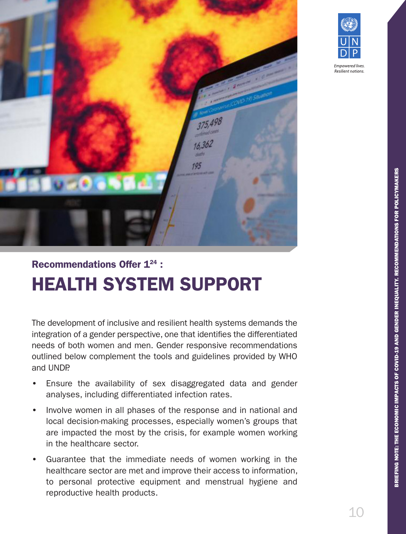



**Resilient nations** 

## Recommendations Offer 124 : HEALTH SYSTEM SUPPORT

The development of inclusive and resilient health systems demands the integration of a gender perspective, one that identifies the differentiated needs of both women and men. Gender responsive recommendations outlined below complement the tools and guidelines provided by WHO and UNDP.

- Ensure the availability of sex disaggregated data and gender analyses, including differentiated infection rates.
- Involve women in all phases of the response and in national and local decision-making processes, especially women's groups that are impacted the most by the crisis, for example women working in the healthcare sector.
- Guarantee that the immediate needs of women working in the healthcare sector are met and improve their access to information, to personal protective equipment and menstrual hygiene and reproductive health products.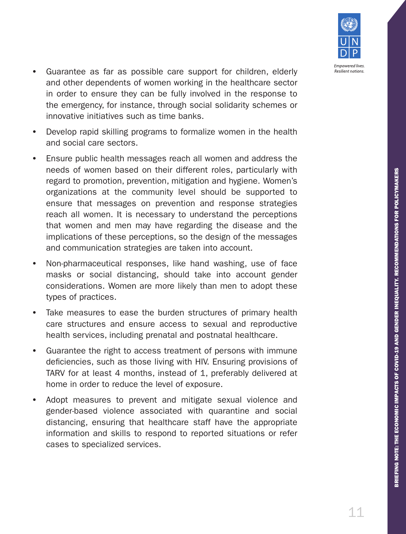

- Guarantee as far as possible care support for children, elderly and other dependents of women working in the healthcare sector in order to ensure they can be fully involved in the response to the emergency, for instance, through social solidarity schemes or innovative initiatives such as time banks.
- Develop rapid skilling programs to formalize women in the health and social care sectors.
- Ensure public health messages reach all women and address the needs of women based on their different roles, particularly with regard to promotion, prevention, mitigation and hygiene. Women's organizations at the community level should be supported to ensure that messages on prevention and response strategies reach all women. It is necessary to understand the perceptions that women and men may have regarding the disease and the implications of these perceptions, so the design of the messages and communication strategies are taken into account.
- Non-pharmaceutical responses, like hand washing, use of face masks or social distancing, should take into account gender considerations. Women are more likely than men to adopt these types of practices.
- Take measures to ease the burden structures of primary health care structures and ensure access to sexual and reproductive health services, including prenatal and postnatal healthcare.
- Guarantee the right to access treatment of persons with immune deficiencies, such as those living with HIV. Ensuring provisions of TARV for at least 4 months, instead of 1, preferably delivered at home in order to reduce the level of exposure.
- Adopt measures to prevent and mitigate sexual violence and gender-based violence associated with quarantine and social distancing, ensuring that healthcare staff have the appropriate information and skills to respond to reported situations or refer cases to specialized services.

11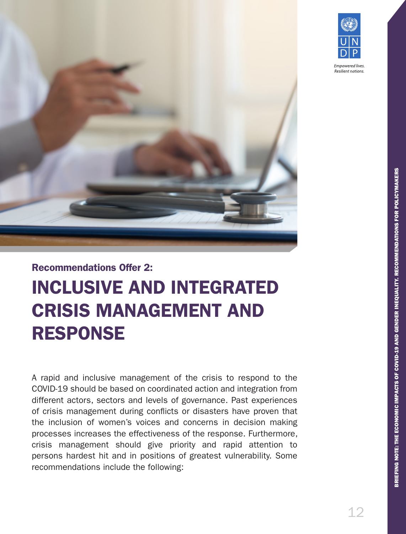



BRIEFING NOTE: THE ECONOMIC IMPACTS OF COVID-19 AND GENDER INEQUALITY. RECOMMENDATIONS FOR POLICYMAKERS BRIEFING NOTE: THE ECONOMIC IMPACTS OF COVID-19 AND GENDER INEQUALITY. RECOMMENDATIONS FOR POLICYMAKERS

## Recommendations Offer 2:

## INCLUSIVE AND INTEGRATED CRISIS MANAGEMENT AND RESPONSE

A rapid and inclusive management of the crisis to respond to the COVID-19 should be based on coordinated action and integration from different actors, sectors and levels of governance. Past experiences of crisis management during conflicts or disasters have proven that the inclusion of women's voices and concerns in decision making processes increases the effectiveness of the response. Furthermore, crisis management should give priority and rapid attention to persons hardest hit and in positions of greatest vulnerability. Some recommendations include the following: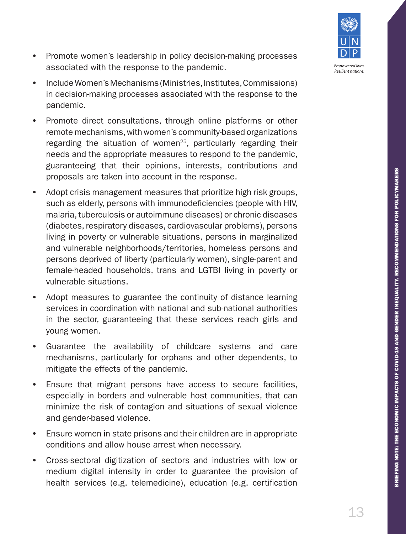BRIEFING NOTE: THE ECONOMIC IMPACTS OF COVID-19 AND GENDER INEQUALITY. RECOMMENDATIONS FOR POLICYMAKERS BRIEFING NOTE: THE ECONOMIC IMPACTS OF COVID-19 AND GENDER INEQUALITY. RECOMMENDATIONS FOR POLICYMAKERS

- Promote women's leadership in policy decision-making processes associated with the response to the pandemic.
- Include Women's Mechanisms (Ministries, Institutes, Commissions) in decision-making processes associated with the response to the pandemic.
- Promote direct consultations, through online platforms or other remote mechanisms, with women's community-based organizations regarding the situation of women<sup>25</sup>, particularly regarding their needs and the appropriate measures to respond to the pandemic, guaranteeing that their opinions, interests, contributions and proposals are taken into account in the response.
- Adopt crisis management measures that prioritize high risk groups, such as elderly, persons with immunodeficiencies (people with HIV, malaria, tuberculosis or autoimmune diseases) or chronic diseases (diabetes, respiratory diseases, cardiovascular problems), persons living in poverty or vulnerable situations, persons in marginalized and vulnerable neighborhoods/territories, homeless persons and persons deprived of liberty (particularly women), single-parent and female-headed households, trans and LGTBI living in poverty or vulnerable situations.
- Adopt measures to guarantee the continuity of distance learning services in coordination with national and sub-national authorities in the sector, guaranteeing that these services reach girls and young women.
- Guarantee the availability of childcare systems and care mechanisms, particularly for orphans and other dependents, to mitigate the effects of the pandemic.
- Ensure that migrant persons have access to secure facilities, especially in borders and vulnerable host communities, that can minimize the risk of contagion and situations of sexual violence and gender-based violence.
- Ensure women in state prisons and their children are in appropriate conditions and allow house arrest when necessary.
- Cross-sectoral digitization of sectors and industries with low or medium digital intensity in order to guarantee the provision of health services (e.g. telemedicine), education (e.g. certification

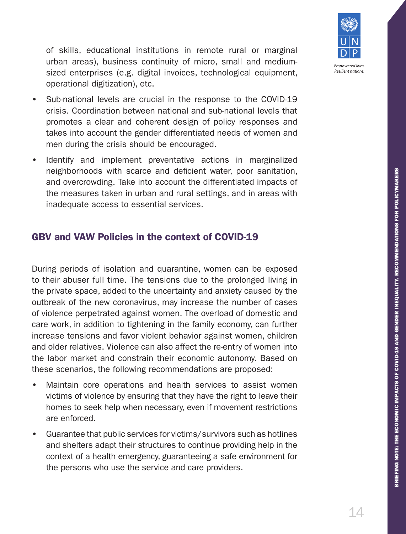

of skills, educational institutions in remote rural or marginal urban areas), business continuity of micro, small and mediumsized enterprises (e.g. digital invoices, technological equipment, operational digitization), etc.

- Sub-national levels are crucial in the response to the COVID-19 crisis. Coordination between national and sub-national levels that promotes a clear and coherent design of policy responses and takes into account the gender differentiated needs of women and men during the crisis should be encouraged.
- Identify and implement preventative actions in marginalized neighborhoods with scarce and deficient water, poor sanitation, and overcrowding. Take into account the differentiated impacts of the measures taken in urban and rural settings, and in areas with inadequate access to essential services.

#### GBV and VAW Policies in the context of COVID-19

During periods of isolation and quarantine, women can be exposed to their abuser full time. The tensions due to the prolonged living in the private space, added to the uncertainty and anxiety caused by the outbreak of the new coronavirus, may increase the number of cases of violence perpetrated against women. The overload of domestic and care work, in addition to tightening in the family economy, can further increase tensions and favor violent behavior against women, children and older relatives. Violence can also affect the re-entry of women into the labor market and constrain their economic autonomy. Based on these scenarios, the following recommendations are proposed:

- Maintain core operations and health services to assist women victims of violence by ensuring that they have the right to leave their homes to seek help when necessary, even if movement restrictions are enforced.
- Guarantee that public services for victims/survivors such as hotlines and shelters adapt their structures to continue providing help in the context of a health emergency, guaranteeing a safe environment for the persons who use the service and care providers.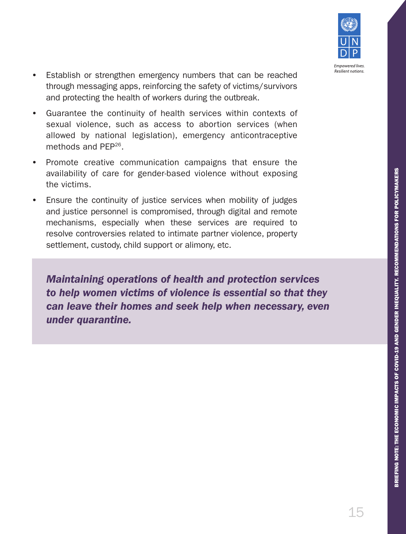

- Establish or strengthen emergency numbers that can be reached through messaging apps, reinforcing the safety of victims/survivors and protecting the health of workers during the outbreak.
- Guarantee the continuity of health services within contexts of sexual violence, such as access to abortion services (when allowed by national legislation), emergency anticontraceptive methods and PFP<sup>26</sup>
- Promote creative communication campaigns that ensure the availability of care for gender-based violence without exposing the victims.
- Ensure the continuity of justice services when mobility of judges and justice personnel is compromised, through digital and remote mechanisms, especially when these services are required to resolve controversies related to intimate partner violence, property settlement, custody, child support or alimony, etc.

*Maintaining operations of health and protection services to help women victims of violence is essential so that they can leave their homes and seek help when necessary, even under quarantine.*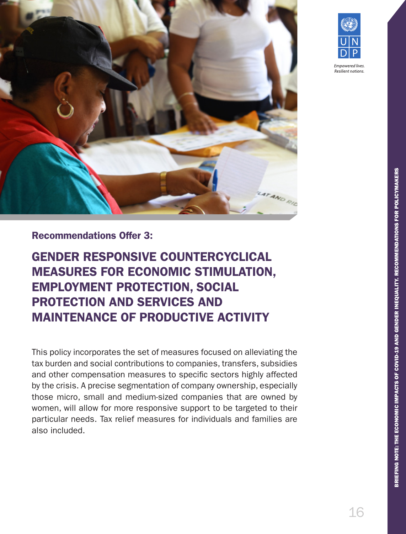



Resilient nations

#### Recommendations Offer 3:

GENDER RESPONSIVE COUNTERCYCLICAL MEASURES FOR ECONOMIC STIMULATION, EMPLOYMENT PROTECTION, SOCIAL PROTECTION AND SERVICES AND MAINTENANCE OF PRODUCTIVE ACTIVITY

This policy incorporates the set of measures focused on alleviating the tax burden and social contributions to companies, transfers, subsidies and other compensation measures to specific sectors highly affected by the crisis. A precise segmentation of company ownership, especially those micro, small and medium-sized companies that are owned by women, will allow for more responsive support to be targeted to their particular needs. Tax relief measures for individuals and families are also included.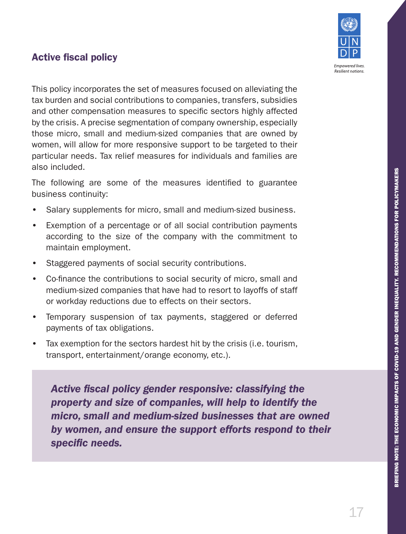## Active fiscal policy



This policy incorporates the set of measures focused on alleviating the tax burden and social contributions to companies, transfers, subsidies and other compensation measures to specific sectors highly affected by the crisis. A precise segmentation of company ownership, especially those micro, small and medium-sized companies that are owned by women, will allow for more responsive support to be targeted to their particular needs. Tax relief measures for individuals and families are also included.

The following are some of the measures identified to guarantee business continuity:

- Salary supplements for micro, small and medium-sized business.
- Exemption of a percentage or of all social contribution payments according to the size of the company with the commitment to maintain employment.
- Staggered payments of social security contributions.
- Co-finance the contributions to social security of micro, small and medium-sized companies that have had to resort to layoffs of staff or workday reductions due to effects on their sectors.
- Temporary suspension of tax payments, staggered or deferred payments of tax obligations.
- Tax exemption for the sectors hardest hit by the crisis (i.e. tourism, transport, entertainment/orange economy, etc.).

*Active fiscal policy gender responsive: classifying the property and size of companies, will help to identify the micro, small and medium-sized businesses that are owned by women, and ensure the support efforts respond to their specific needs.*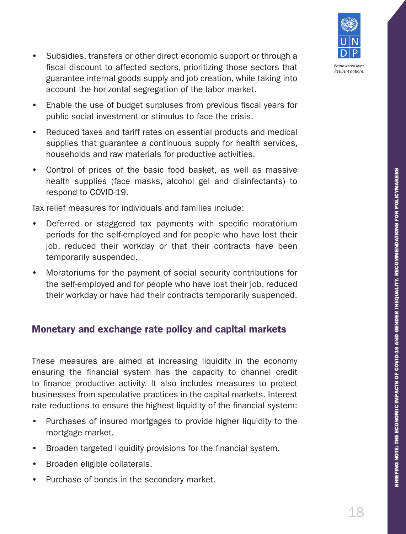BRIEFING NOTE: THE ECONOMIC IMPACTS OF COVID-19 AND GENDER INEQUALITY. RECOMMENDATIONS FOR POLICYMAKERS

BRIEFING NOTE: THE ECONOMIC IMPACTS OF COVID-19 AND GENDER INEQUALITY. RECOMMENDATIONS FOR POLICYMAKERS

- Empowered lives. **Resilient nations**
- Subsidies, transfers or other direct economic support or through a fiscal discount to affected sectors, prioritizing those sectors that guarantee internal goods supply and job creation, while taking into account the horizontal segregation of the labor market.
- Enable the use of budget surpluses from previous fiscal years for public social investment or stimulus to face the crisis.
- Reduced taxes and tariff rates on essential products and medical supplies that guarantee a continuous supply for health services, households and raw materials for productive activities.
- Control of prices of the basic food basket, as well as massive health supplies (face masks, alcohol gel and disinfectants) to respond to COVID-19.

Tax relief measures for individuals and families include:

- Deferred or staggered tax payments with specific moratorium periods for the self-employed and for people who have lost their job, reduced their workday or that their contracts have been temporarily suspended.
- Moratoriums for the payment of social security contributions for the self-employed and for people who have lost their job, reduced their workday or have had their contracts temporarily suspended.

### Monetary and exchange rate policy and capital markets

These measures are aimed at increasing liquidity in the economy ensuring the financial system has the capacity to channel credit to finance productive activity. It also includes measures to protect businesses from speculative practices in the capital markets. Interest rate reductions to ensure the highest liquidity of the financial system:

- Purchases of insured mortgages to provide higher liquidity to the mortgage market.
- Broaden targeted liquidity provisions for the financial system.
- Broaden eligible collaterals.
- Purchase of bonds in the secondary market.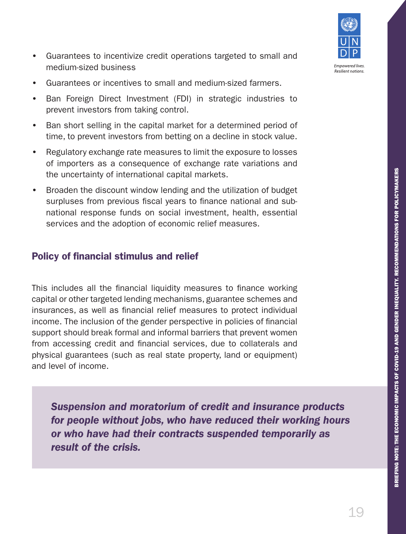

- Guarantees to incentivize credit operations targeted to small and medium-sized business
- Guarantees or incentives to small and medium-sized farmers.
- Ban Foreign Direct Investment (FDI) in strategic industries to prevent investors from taking control.
- Ban short selling in the capital market for a determined period of time, to prevent investors from betting on a decline in stock value.
- Regulatory exchange rate measures to limit the exposure to losses of importers as a consequence of exchange rate variations and the uncertainty of international capital markets.
- Broaden the discount window lending and the utilization of budget surpluses from previous fiscal years to finance national and subnational response funds on social investment, health, essential services and the adoption of economic relief measures.

### Policy of financial stimulus and relief

This includes all the financial liquidity measures to finance working capital or other targeted lending mechanisms, guarantee schemes and insurances, as well as financial relief measures to protect individual income. The inclusion of the gender perspective in policies of financial support should break formal and informal barriers that prevent women from accessing credit and financial services, due to collaterals and physical guarantees (such as real state property, land or equipment) and level of income.

*Suspension and moratorium of credit and insurance products for people without jobs, who have reduced their working hours or who have had their contracts suspended temporarily as result of the crisis.*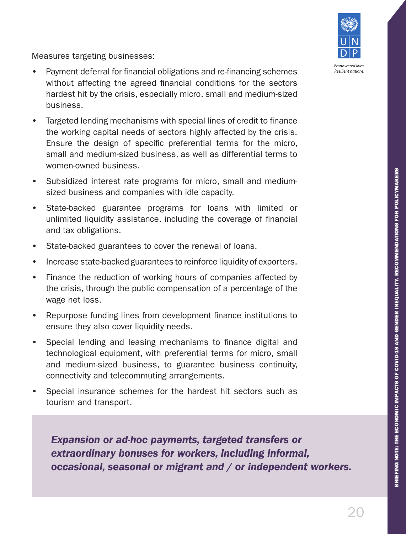

Measures targeting businesses:

- Payment deferral for financial obligations and re-financing schemes without affecting the agreed financial conditions for the sectors hardest hit by the crisis, especially micro, small and medium-sized business.
- Targeted lending mechanisms with special lines of credit to finance the working capital needs of sectors highly affected by the crisis. Ensure the design of specific preferential terms for the micro, small and medium-sized business, as well as differential terms to women-owned business.
- Subsidized interest rate programs for micro, small and mediumsized business and companies with idle capacity.
- State-backed guarantee programs for loans with limited or unlimited liquidity assistance, including the coverage of financial and tax obligations.
- State-backed guarantees to cover the renewal of loans.
- Increase state-backed guarantees to reinforce liquidity of exporters.
- Finance the reduction of working hours of companies affected by the crisis, through the public compensation of a percentage of the wage net loss.
- Repurpose funding lines from development finance institutions to ensure they also cover liquidity needs.
- Special lending and leasing mechanisms to finance digital and technological equipment, with preferential terms for micro, small and medium-sized business, to guarantee business continuity, connectivity and telecommuting arrangements.
- Special insurance schemes for the hardest hit sectors such as tourism and transport.

*Expansion or ad-hoc payments, targeted transfers or extraordinary bonuses for workers, including informal, occasional, seasonal or migrant and / or independent workers.*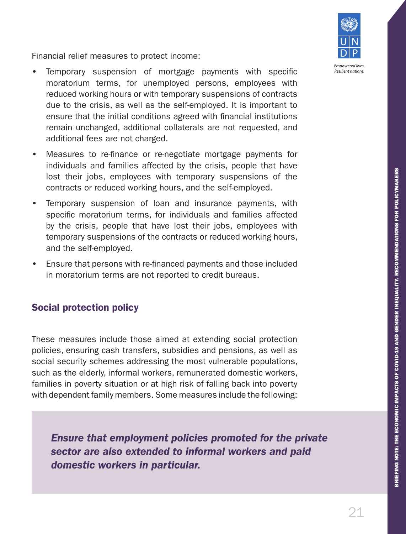

Financial relief measures to protect income:

- Temporary suspension of mortgage payments with specific moratorium terms, for unemployed persons, employees with reduced working hours or with temporary suspensions of contracts due to the crisis, as well as the self-employed. It is important to ensure that the initial conditions agreed with financial institutions remain unchanged, additional collaterals are not requested, and additional fees are not charged.
- Measures to re-finance or re-negotiate mortgage payments for individuals and families affected by the crisis, people that have lost their jobs, employees with temporary suspensions of the contracts or reduced working hours, and the self-employed.
- Temporary suspension of loan and insurance payments, with specific moratorium terms, for individuals and families affected by the crisis, people that have lost their jobs, employees with temporary suspensions of the contracts or reduced working hours, and the self-employed.
- Ensure that persons with re-financed payments and those included in moratorium terms are not reported to credit bureaus.

### Social protection policy

These measures include those aimed at extending social protection policies, ensuring cash transfers, subsidies and pensions, as well as social security schemes addressing the most vulnerable populations, such as the elderly, informal workers, remunerated domestic workers, families in poverty situation or at high risk of falling back into poverty with dependent family members. Some measures include the following:

*Ensure that employment policies promoted for the private sector are also extended to informal workers and paid domestic workers in particular.*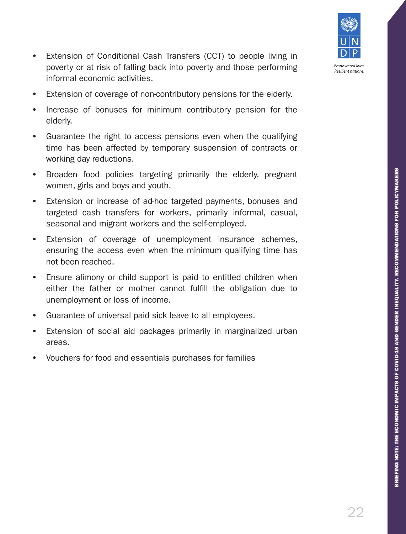

- Extension of Conditional Cash Transfers (CCT) to people living in poverty or at risk of falling back into poverty and those performing informal economic activities.
- Extension of coverage of non-contributory pensions for the elderly.
- Increase of bonuses for minimum contributory pension for the elderly.
- Guarantee the right to access pensions even when the qualifying time has been affected by temporary suspension of contracts or working day reductions.
- Broaden food policies targeting primarily the elderly, pregnant women, girls and boys and youth.
- Extension or increase of ad-hoc targeted payments, bonuses and targeted cash transfers for workers, primarily informal, casual, seasonal and migrant workers and the self-employed.
- Extension of coverage of unemployment insurance schemes, ensuring the access even when the minimum qualifying time has not been reached.
- Ensure alimony or child support is paid to entitled children when either the father or mother cannot fulfill the obligation due to unemployment or loss of income.
- Guarantee of universal paid sick leave to all employees.
- Extension of social aid packages primarily in marginalized urban areas.
- Vouchers for food and essentials purchases for families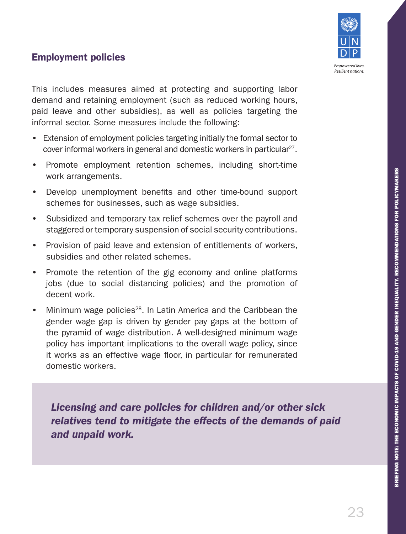

### Employment policies

This includes measures aimed at protecting and supporting labor demand and retaining employment (such as reduced working hours, paid leave and other subsidies), as well as policies targeting the informal sector. Some measures include the following:

- Extension of employment policies targeting initially the formal sector to cover informal workers in general and domestic workers in particular<sup>27</sup>.
- Promote employment retention schemes, including short-time work arrangements.
- Develop unemployment benefits and other time-bound support schemes for businesses, such as wage subsidies.
- Subsidized and temporary tax relief schemes over the payroll and staggered or temporary suspension of social security contributions.
- Provision of paid leave and extension of entitlements of workers, subsidies and other related schemes.
- Promote the retention of the gig economy and online platforms jobs (due to social distancing policies) and the promotion of decent work.
- Minimum wage policies<sup>28</sup>. In Latin America and the Caribbean the gender wage gap is driven by gender pay gaps at the bottom of the pyramid of wage distribution. A well-designed minimum wage policy has important implications to the overall wage policy, since it works as an effective wage floor, in particular for remunerated domestic workers.

*Licensing and care policies for children and/or other sick relatives tend to mitigate the effects of the demands of paid and unpaid work.*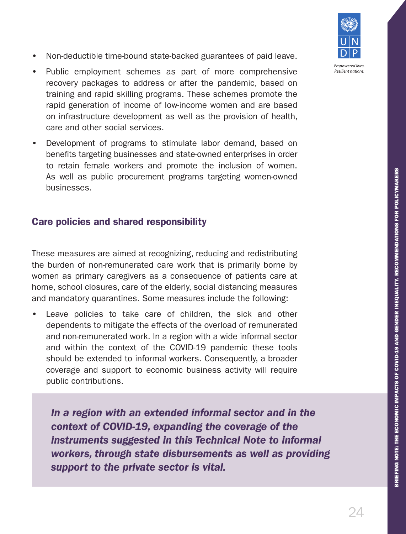BRIEFING NOTE: THE ECONOMIC IMPACTS OF COVID-19 AND GENDER INEQUALITY. RECOMMENDATIONS FOR POLICYMAKERS BRIEFING NOTE: THE ECONOMIC IMPACTS OF COVID-19 AND GENDER INEQUALITY. RECOMMENDATIONS FOR POLICYMAKERS

- Non-deductible time-bound state-backed guarantees of paid leave.
- Public employment schemes as part of more comprehensive recovery packages to address or after the pandemic, based on training and rapid skilling programs. These schemes promote the rapid generation of income of low-income women and are based on infrastructure development as well as the provision of health, care and other social services.
- Development of programs to stimulate labor demand, based on benefits targeting businesses and state-owned enterprises in order to retain female workers and promote the inclusion of women. As well as public procurement programs targeting women-owned businesses.

#### Care policies and shared responsibility

These measures are aimed at recognizing, reducing and redistributing the burden of non-remunerated care work that is primarily borne by women as primary caregivers as a consequence of patients care at home, school closures, care of the elderly, social distancing measures and mandatory quarantines. Some measures include the following:

Leave policies to take care of children, the sick and other dependents to mitigate the effects of the overload of remunerated and non-remunerated work. In a region with a wide informal sector and within the context of the COVID-19 pandemic these tools should be extended to informal workers. Consequently, a broader coverage and support to economic business activity will require public contributions.

*In a region with an extended informal sector and in the context of COVID-19, expanding the coverage of the instruments suggested in this Technical Note to informal workers, through state disbursements as well as providing support to the private sector is vital.* 



**Empowered lives Resilient nations**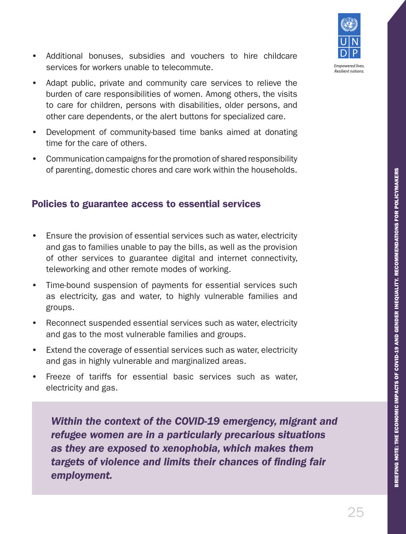BRIEFING NOTE: THE ECONOMIC IMPACTS OF COVID-19 AND GENDER INEQUALITY. RECOMMENDATIONS FOR POLICYMAKERS BRIEFING NOTE: THE ECONOMIC IMPACTS OF COVID-19 AND GENDER INEQUALITY. RECOMMENDATIONS FOR POLICYMAKERS

#### • Additional bonuses, subsidies and vouchers to hire childcare services for workers unable to telecommute.

- Adapt public, private and community care services to relieve the burden of care responsibilities of women. Among others, the visits to care for children, persons with disabilities, older persons, and other care dependents, or the alert buttons for specialized care.
- Development of community-based time banks aimed at donating time for the care of others.
- Communication campaigns for the promotion of shared responsibility of parenting, domestic chores and care work within the households.

#### Policies to guarantee access to essential services

- Ensure the provision of essential services such as water, electricity and gas to families unable to pay the bills, as well as the provision of other services to guarantee digital and internet connectivity, teleworking and other remote modes of working.
- Time-bound suspension of payments for essential services such as electricity, gas and water, to highly vulnerable families and groups.
- Reconnect suspended essential services such as water, electricity and gas to the most vulnerable families and groups.
- Extend the coverage of essential services such as water, electricity and gas in highly vulnerable and marginalized areas.
- Freeze of tariffs for essential basic services such as water. electricity and gas.

*Within the context of the COVID-19 emergency, migrant and refugee women are in a particularly precarious situations as they are exposed to xenophobia, which makes them targets of violence and limits their chances of finding fair employment.* 



**Empowered lives Resilient nations**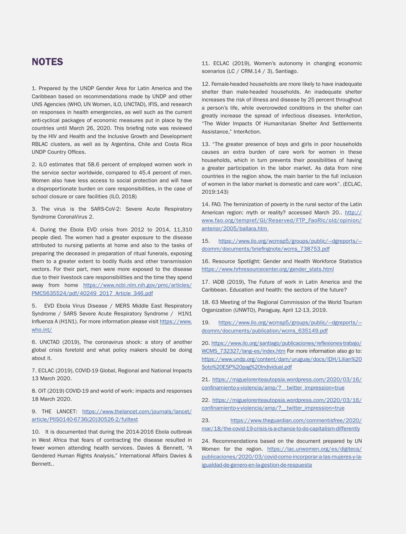#### **NOTES**

1. Prepared by the UNDP Gender Area for Latin America and the Caribbean based on recommendations made by UNDP and other UNS Agencies (WHO, UN Women, ILO, UNCTAD), IFIS, and research on responses in health emergencies, as well such as the current anti-cyclical packages of economic measures put in place by the countries until March 26, 2020. This briefing note was reviewed by the HIV and Health and the Inclusive Growth and Development RBLAC clusters, as well as by Argentina, Chile and Costa Rica UNDP Country Offices.

2. ILO estimates that 58.6 percent of employed women work in the service sector worldwide, compared to 45.4 percent of men. Women also have less access to social protection and will have a disproportionate burden on care responsibilities, in the case of school closure or care facilities (ILO, 2018)

3. The virus is the SARS-CoV-2: Severe Acute Respiratory Syndrome CoronaVirus 2.

4. During the Ebola EVD crisis from 2012 to 2014, 11,310 people died. The women had a greater exposure to the disease attributed to nursing patients at home and also to the tasks of preparing the deceased in preparation of ritual funerals, exposing them to a greater extent to bodily fluids and other transmission vectors. For their part, men were more exposed to the disease due to their livestock care responsibilities and the time they spend away from home https://www.ncbi.nlm.nih.gov/pmc/articles/ PMC5635524/pdf/40249\_2017\_Article\_346.pdf

5. EVD Ebola Virus Disease / MERS Middle East Respiratory Syndrome / SARS Severe Acute Respiratory Syndrome / H1N1 Influenza A (H1N1). For more information please visit https://www. who.int/

6. UNCTAD (2019), The coronavirus shock: a story of another global crisis foretold and what policy makers should be doing about it.

7. ECLAC (2019), COVID-19 Global, Regional and National Impacts 13 March 2020.

8. OIT (2019) COVID-19 and world of work: impacts and responses 18 March 2020.

9. THE LANCET: https://www.thelancet.com/journals/lancet/ article/PIIS0140-6736(20)30526-2/fulltext

10. It is documented that during the 2014-2016 Ebola outbreak in West Africa that fears of contracting the disease resulted in fewer women attending health services. Davies & Bennett, "A Gendered Human Rights Analysis," International Affairs Davies & Bennett..

11. ECLAC (2019), Women's autonomy in changing economic scenarios (LC / CRM.14 / 3), Santiago.

12. Female-headed households are more likely to have inadequate shelter than male-headed households. An inadequate shelter increases the risk of illness and disease by 25 percent throughout a person's life, while overcrowded conditions in the shelter can greatly increase the spread of infectious diseases. InterAction, "The Wider Impacts Of Humanitarian Shelter And Settlements Assistance," InterAction.

13. "The greater presence of boys and girls in poor households causes an extra burden of care work for women in these households, which in turn prevents their possibilities of having a greater participation in the labor market. As data from nine countries in the region show, the main barrier to the full inclusion of women in the labor market is domestic and care work". (ECLAC, 2019:143)

14. FAO. The feminization of poverty in the rural sector of the Latin American region: myth or reality? accessed March 20.. http:// www.fao.org/tempref/GI/Reserved/FTP\_FaoRlc/old/opinion/ anterior/2005/ballara.htm

15. https://www.ilo.org/wcmsp5/groups/public/--dgreports/-dcomm/documents/briefingnote/wcms\_738753.pdf

16. Resource Spotlight: Gender and Health Workforce Statistics https://www.hrhresourcecenter.org/gender\_stats.html

17. IADB (2019), The Future of work in Latin America and the Caribbean. Education and health: the sectors of the future?

18. 63 Meeting of the Regional Commission of the World Tourism Organization (UNWTO), Paraguay, April 12-13, 2019.

19. https://www.ilo.org/wcmsp5/groups/public/--dgreports/-dcomm/documents/publication/wcms\_635149.pdf

20. https://www.ilo.org/santiago/publicaciones/reflexiones-trabajo/ WCMS 732327/lang-es/index.htm For more information also go to: https://www.undp.org/content/dam/uruguay/docs/IDH/Lilian%20 Soto%20ESP%20pag%20Individual.pdf

21. https://miguelorenteautopsia.wordpress.com/2020/03/16/ confinamiento-y-violencia/amp/?\_\_twitter\_impression=true

22. https://miguelorenteautopsia.wordpress.com/2020/03/16/ confinamiento-y-violencia/amp/? twitter\_impression=true

23. https://www.theguardian.com/commentisfree/2020/ mar/18/the-covid-19-crisis-is-a-chance-to-do-capitalism-differently

24. Recommendations based on the document prepared by UN Women for the region. https://lac.unwomen.org/es/digiteca/ publicaciones/2020/03/covid-como-incorporar-a-las-mujeres-y-laigualdad-de-genero-en-la-gestion-de-respuesta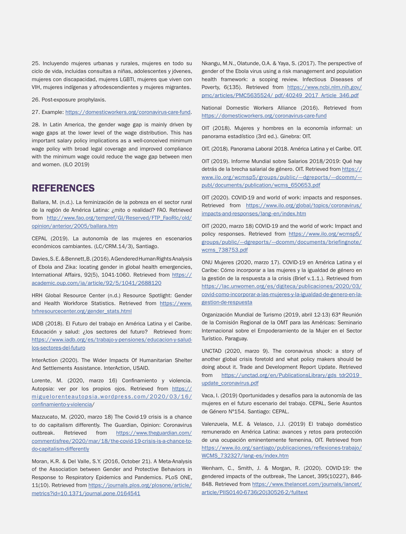25. Incluyendo mujeres urbanas y rurales, mujeres en todo su ciclo de vida, incluidas consultas a niñas, adolescentes y jóvenes, mujeres con discapacidad, mujeres LGBTI, mujeres que viven con VIH, mujeres indígenas y afrodescendientes y mujeres migrantes.

26. Post-exposure prophylaxis.

27. Example: https://domesticworkers.org/coronavirus-care-fund.

28. In Latin America, the gender wage gap is mainly driven by wage gaps at the lower level of the wage distribution. This has important salary policy implications as a well-conceived minimum wage policy with broad legal coverage and improved compliance with the minimum wage could reduce the wage gap between men and women. (ILO 2019)

#### REFERENCES

Ballara, M. (n.d.). La feminización de la pobreza en el sector rural de la región de América Latina: ¿mito o realidad? FAO. Retrieved from http://www.fao.org/tempref/GI/Reserved/FTP\_FaoRlc/old/ opinion/anterior/2005/ballara.htm

CEPAL (2019). La autonomía de las mujeres en escenarios económicos cambiantes. (LC/CRM.14/3), Santiago.

Davies, S. E. & Bennett, B. (2016). A Gendered Human Rights Analysis of Ebola and Zika: locating gender in global health emergencies, International Affairs, 92(5), 1041-1060. Retrieved from https:// academic.oup.com/ia/article/92/5/1041/2688120

HRH Global Resource Center (n.d.) Resource Spotlight: Gender and Health Workforce Statistics. Retrieved from https://www. hrhresourcecenter.org/gender\_stats.html

IADB (2018). El Futuro del trabajo en América Latina y el Caribe. Educación y salud: ¿los sectores del futuro? Retrieved from: https://www.iadb.org/es/trabajo-y-pensiones/educacion-y-saludlos-sectores-del-futuro

InterAction (2020). The Wider Impacts Of Humanitarian Shelter And Settlements Assistance. InterAction, USAID.

Lorente, M. (2020, marzo 16) Confinamiento y violencia. Autopsia: ver por los propios ojos. Retrieved from https:// miguelorenteautopsia.wordpress.com/2020/03/16/ confinamiento-y-violencia/

Mazzucato, M. (2020, marzo 18) The Covid-19 crisis is a chance to do capitalism differently. The Guardian, Opinion: Coronavirus outbreak. Retrieved from https://www.theguardian.com/ commentisfree/2020/mar/18/the-covid-19-crisis-is-a-chance-todo-capitalism-differently

Moran, K.R. & Del Valle, S.Y. (2016, October 21). A Meta-Analysis of the Association between Gender and Protective Behaviors in Response to Respiratory Epidemics and Pandemics. PLoS ONE, 11(10). Retrieved from https://journals.plos.org/plosone/article/ metrics?id=10.1371/journal.pone.0164541

Nkangu, M.N., Olatunde, O.A. & Yaya, S. (2017). The perspective of gender of the Ebola virus using a risk management and population health framework: a scoping review. Infectious Diseases of Poverty, 6(135). Retrieved from https://www.ncbi.nlm.nih.gov/ pmc/articles/PMC5635524/ pdf/40249\_2017\_Article\_346.pdf

National Domestic Workers Alliance (2016). Retrieved from https://domesticworkers.org/coronavirus-care-fund

OIT (2018). Mujeres y hombres en la economía informal: un panorama estadístico (3rd ed.). Ginebra: OIT.

OIT. (2018). Panorama Laboral 2018. América Latina y el Caribe. OIT.

OIT (2019). Informe Mundial sobre Salarios 2018/2019: Qué hay detrás de la brecha salarial de género. OIT. Retrieved from https:// www.ilo.org/wcmsp5/groups/public/---dgreports/---dcomm/--publ/documents/publication/wcms\_650653.pdf

OIT (2020). COVID-19 and world of work: impacts and responses. Retrieved from https://www.ilo.org/global/topics/coronavirus/ impacts-and-responses/lang-en/index.htm

OIT (2020, marzo 18) COVID-19 and the world of work: Impact and policy responses. Retrieved from https://www.ilo.org/wcmsp5/ groups/public/--dgreports/--dcomm/documents/briefingnote/ wcms\_738753.pdf

ONU Mujeres (2020, marzo 17). COVID-19 en América Latina y el Caribe: Cómo incorporar a las mujeres y la igualdad de género en la gestión de la respuesta a la crisis (Brief v.1.1.). Retrieved from https://lac.unwomen.org/es/digiteca/publicaciones/2020/03/ covid-como-incorporar-a-las-mujeres-y-la-igualdad-de-genero-en-lagestion-de-respuesta

Organización Mundial de Turismo (2019, abril 12-13) 63ª Reunión de la Comisión Regional de la OMT para las Américas: Seminario Internacional sobre el Empoderamiento de la Mujer en el Sector Turístico. Paraguay.

UNCTAD (2020, marzo 9). The coronavirus shock: a story of another global crisis foretold and what policy makers should be doing about it. Trade and Development Report Update. Retrieved from https://unctad.org/en/PublicationsLibrary/gds\_tdr2019\_ update\_coronavirus.pdf

Vaca, I. (2019) Oportunidades y desafíos para la autonomía de las mujeres en el futuro escenario del trabajo. CEPAL, Serie Asuntos de Género Nº154. Santiago: CEPAL.

Valenzuela, M.E. & Velasco, J.J. (2019) El trabajo doméstico remunerado en América Latina: avances y retos para protección de una ocupación eminentemente femenina, OIT. Retrieved from https://www.ilo.org/santiago/publicaciones/reflexiones-trabajo/ WCMS 732327/lang--es/index.htm

Wenham, C., Smith, J. & Morgan, R. (2020). COVID-19: the gendered impacts of the outbreak, The Lancet, 395(10227), 846- 848. Retrieved from https://www.thelancet.com/journals/lancet/ article/PIIS0140-6736(20)30526-2/fulltext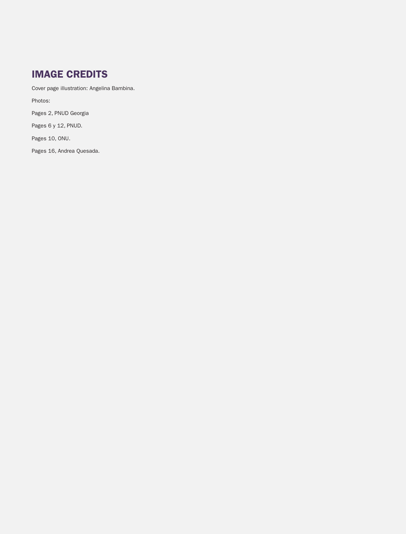## IMAGE CREDITS

Cover page illustration: Angelina Bambina.

Photos:

Pages 2, PNUD Georgia

Pages 6 y 12, PNUD.

Pages 10, ONU.

Pages 16, Andrea Quesada.